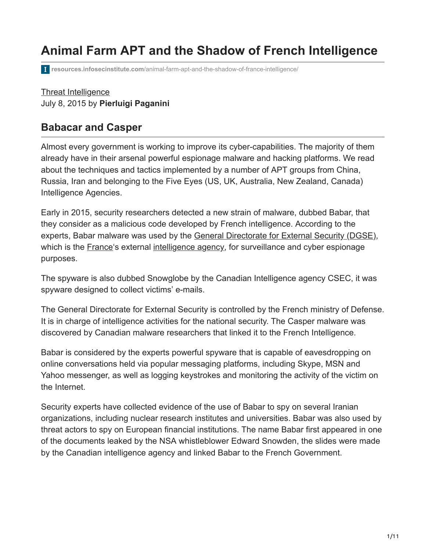# **Animal Farm APT and the Shadow of French Intelligence**

**resources.infosecinstitute.com**[/animal-farm-apt-and-the-shadow-of-france-intelligence/](https://resources.infosecinstitute.com/animal-farm-apt-and-the-shadow-of-france-intelligence/)

### [Threat Intelligence](https://resources.infosecinstitute.com/topics/threat-intelligence/) July 8, 2015 by **Pierluigi Paganini**

### **Babacar and Casper**

Almost every government is working to improve its cyber-capabilities. The majority of them already have in their arsenal powerful espionage malware and hacking platforms. We read about the techniques and tactics implemented by a number of APT groups from China, Russia, Iran and belonging to the Five Eyes (US, UK, Australia, New Zealand, Canada) Intelligence Agencies.

Early in 2015, security researchers detected a new strain of malware, dubbed Babar, that they consider as a malicious code developed by French intelligence. According to the experts, Babar malware was used by the [General Directorate for External Security \(DGSE\),](http://en.wikipedia.org/wiki/Directorate-General_for_External_Security) which is the [France](http://en.wikipedia.org/wiki/France)'s external [intelligence agency](http://en.wikipedia.org/wiki/Intelligence_agency), for surveillance and cyber espionage purposes.

The spyware is also dubbed Snowglobe by the Canadian Intelligence agency CSEC, it was spyware designed to collect victims' e-mails.

The General Directorate for External Security is controlled by the French ministry of Defense. It is in charge of intelligence activities for the national security. The Casper malware was discovered by Canadian malware researchers that linked it to the French Intelligence.

Babar is considered by the experts powerful spyware that is capable of eavesdropping on online conversations held via popular messaging platforms, including Skype, MSN and Yahoo messenger, as well as logging keystrokes and monitoring the activity of the victim on the Internet.

Security experts have collected evidence of the use of Babar to spy on several Iranian organizations, including nuclear research institutes and universities. Babar was also used by threat actors to spy on European financial institutions. The name Babar first appeared in one of the documents leaked by the NSA whistleblower Edward Snowden, the slides were made by the Canadian intelligence agency and linked Babar to the French Government.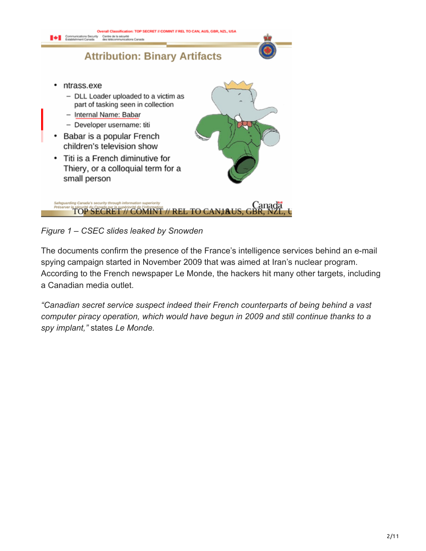

*Figure 1 – CSEC slides leaked by Snowden*

The documents confirm the presence of the France's intelligence services behind an e-mail spying campaign started in November 2009 that was aimed at Iran's nuclear program. According to the French newspaper Le Monde, the hackers hit many other targets, including a Canadian media outlet.

*"Canadian secret service suspect indeed their French counterparts of being behind a vast computer piracy operation, which would have begun in 2009 and still continue thanks to a spy implant,"* states *Le Monde.*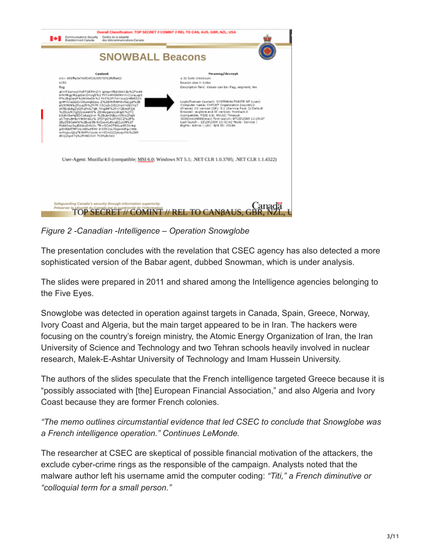

*Figure 2 -Canadian -Intelligence – Operation Snowglobe*

The presentation concludes with the revelation that CSEC agency has also detected a more sophisticated version of the Babar agent, dubbed Snowman, which is under analysis.

The slides were prepared in 2011 and shared among the Intelligence agencies belonging to the Five Eyes.

Snowglobe was detected in operation against targets in Canada, Spain, Greece, Norway, Ivory Coast and Algeria, but the main target appeared to be in Iran. The hackers were focusing on the country's foreign ministry, the Atomic Energy Organization of Iran, the Iran University of Science and Technology and two Tehran schools heavily involved in nuclear research, Malek-E-Ashtar University of Technology and Imam Hussein University.

The authors of the slides speculate that the French intelligence targeted Greece because it is "possibly associated with [the] European Financial Association," and also Algeria and Ivory Coast because they are former French colonies.

*"The memo outlines circumstantial evidence that led CSEC to conclude that Snowglobe was a French intelligence operation." Continues LeMonde.*

The researcher at CSEC are skeptical of possible financial motivation of the attackers, the exclude cyber-crime rings as the responsible of the campaign. Analysts noted that the malware author left his username amid the computer coding: *"Titi," a French diminutive or "colloquial term for a small person."*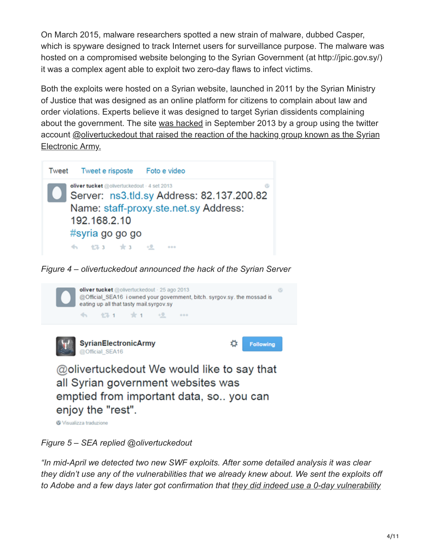On March 2015, malware researchers spotted a new strain of malware, dubbed Casper, which is spyware designed to track Internet users for surveillance purpose. The malware was hosted on a compromised website belonging to the Syrian Government (at http://jpic.gov.sy/) it was a complex agent able to exploit two zero-day flaws to infect victims.

Both the exploits were hosted on a Syrian website, launched in 2011 by the Syrian Ministry of Justice that was designed as an online platform for citizens to complain about law and order violations. Experts believe it was designed to target Syrian dissidents complaining about the government. The site [was hacked](http://ae.aliqtisadi.com/%D9%87%D8%A7%D9%83%D8%B1-%D9%8A%D8%AE%D8%AA%D8%B1%D9%82-%D9%85%D9%88%D8%A7%D9%82%D8%B9-%D8%AD%D9%83%D9%88%D9%85%D9%8A%D8%A9-%D8%B3%D9%88%D8%B1%D9%8A%D8%A9/) in September 2013 by a group using the twitter [account @olivertuckedout that raised the reaction of the hacking group known as the Syrian](https://twitter.com/olivertuckedout) Electronic Army.



*Figure 4 – olivertuckedout announced the hack of the Syrian Server*



Visualizza traduzione

### *Figure 5 – SEA replied @olivertuckedout*

*"In mid-April we detected two new SWF exploits. After some detailed analysis it was clear they didn't use any of the vulnerabilities that we already knew about. We sent the exploits off [to Adobe and a few days later got confirmation that they did indeed use a 0-day vulnerability](http://helpx.adobe.com/security/products/flash-player/apsb14-13.html)*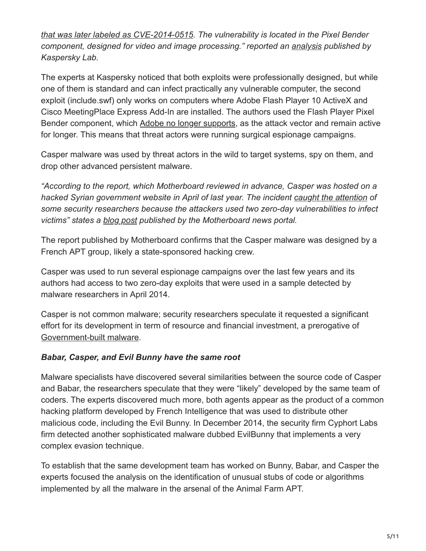*[that was later labeled as CVE-2014-0515. The vulnerability is located in the Pixel Bender](http://helpx.adobe.com/security/products/flash-player/apsb14-13.html) component, designed for video and image processing." reported an [analysis](https://securelist.com/blog/incidents/59399/new-flash-player-0-day-cve-2014-0515-used-in-watering-hole-attacks/) published by Kaspersky Lab.*

The experts at Kaspersky noticed that both exploits were professionally designed, but while one of them is standard and can infect practically any vulnerable computer, the second exploit (include.swf) only works on computers where Adobe Flash Player 10 ActiveX and Cisco MeetingPlace Express Add-In are installed. The authors used the Flash Player Pixel Bender component, which [Adobe no longer supports](http://www.adobe.com/devnet/pixelbender.html), as the attack vector and remain active for longer. This means that threat actors were running surgical espionage campaigns.

Casper malware was used by threat actors in the wild to target systems, spy on them, and drop other advanced persistent malware.

*"According to the report, which Motherboard reviewed in advance, Casper was hosted on a hacked Syrian government website in April of last year. The incident [caught the attention](http://securelist.com/blog/incidents/59399/new-flash-player-0-day-cve-2014-0515-used-in-watering-hole-attacks/) of some security researchers because the attackers used two zero-day vulnerabilities to infect victims" states a [blog post](http://motherboard.vice.com/read/meet-casper-yet-another-malware-likely-created-by-france-for-surveillance?utm_source=mbtwitter) published by the Motherboard news portal.*

The report published by Motherboard confirms that the Casper malware was designed by a French APT group, likely a state-sponsored hacking crew.

Casper was used to run several espionage campaigns over the last few years and its authors had access to two zero-day exploits that were used in a sample detected by malware researchers in April 2014.

Casper is not common malware; security researchers speculate it requested a significant effort for its development in term of resource and financial investment, a prerogative of [Government-built malware.](http://securityaffairs.co/wordpress/22677/malware/government-built-malware-cyber-weapons-will-run-control.html)

### *Babar, Casper, and Evil Bunny have the same root*

Malware specialists have discovered several similarities between the source code of Casper and Babar, the researchers speculate that they were "likely" developed by the same team of coders. The experts discovered much more, both agents appear as the product of a common hacking platform developed by French Intelligence that was used to distribute other malicious code, including the Evil Bunny. In December 2014, the security firm Cyphort Labs firm detected another sophisticated malware dubbed EvilBunny that implements a very complex evasion technique.

To establish that the same development team has worked on Bunny, Babar, and Casper the experts focused the analysis on the identification of unusual stubs of code or algorithms implemented by all the malware in the arsenal of the Animal Farm APT.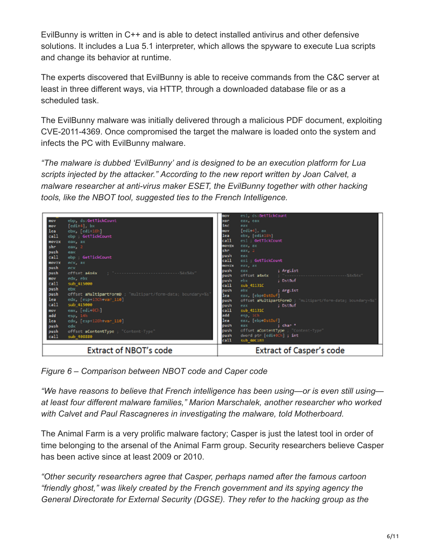EvilBunny is written in C++ and is able to detect installed antivirus and other defensive solutions. It includes a Lua 5.1 interpreter, which allows the spyware to execute Lua scripts and change its behavior at runtime.

The experts discovered that EvilBunny is able to receive commands from the C&C server at least in three different ways, via HTTP, through a downloaded database file or as a scheduled task.

The EvilBunny malware was initially delivered through a malicious PDF document, exploiting CVE-2011-4369. Once compromised the target the malware is loaded onto the system and infects the PC with EvilBunny malware.

*"The malware is dubbed 'EvilBunny' and is designed to be an execution platform for Lua scripts injected by the attacker." According to the new report written by Joan Calvet, a malware researcher at anti-virus maker ESET, the EvilBunny together with other hacking tools, like the NBOT tool, suggested ties to the French Intelligence.*



*Figure 6 – Comparison between NBOT code and Caper code*

*"We have reasons to believe that French intelligence has been using—or is even still using at least four different malware families," Marion Marschalek, another researcher who worked with Calvet and Paul Rascagneres in investigating the malware, told Motherboard.*

The Animal Farm is a very prolific malware factory; Casper is just the latest tool in order of time belonging to the arsenal of the Animal Farm group. Security researchers believe Casper has been active since at least 2009 or 2010.

*"Other security researchers agree that Casper, perhaps named after the famous cartoon "friendly ghost," was likely created by the French government and its spying agency the General Directorate for External Security (DGSE). They refer to the hacking group as the*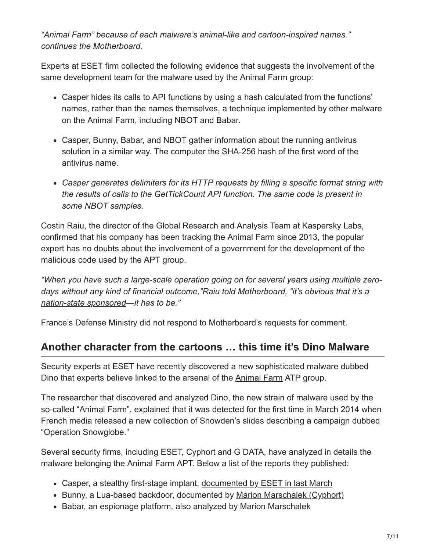*"Animal Farm" because of each malware's animal-like and cartoon-inspired names." continues the Motherboard.*

Experts at ESET firm collected the following evidence that suggests the involvement of the same development team for the malware used by the Animal Farm group:

- Casper hides its calls to API functions by using a hash calculated from the functions' names, rather than the names themselves, a technique implemented by other malware on the Animal Farm, including NBOT and Babar.
- Casper, Bunny, Babar, and NBOT gather information about the running antivirus solution in a similar way. The computer the SHA-256 hash of the first word of the antivirus name.
- *Casper generates delimiters for its HTTP requests by filling a specific format string with the results of calls to the GetTickCount API function. The same code is present in some NBOT samples.*

Costin Raiu, the director of the Global Research and Analysis Team at Kaspersky Labs, confirmed that his company has been tracking the Animal Farm since 2013, the popular expert has no doubts about the involvement of a government for the development of the malicious code used by the APT group.

*"When you have such a large-scale operation going on for several years using multiple zero[days without any kind of financial outcome,"Raiu told Motherboard, "it's obvious that it's a](http://securityaffairs.co/wordpress/18294/security/fireeye-nation-state-driven-cyber-attacks.html) nation-state sponsored—it has to be."*

France's Defense Ministry did not respond to Motherboard's requests for comment.

## **Another character from the cartoons … this time it's Dino Malware**

Security experts at ESET have recently discovered a new sophisticated malware dubbed Dino that experts believe linked to the arsenal of the [Animal Farm](http://securityaffairs.co/wordpress/34462/intelligence/babar-casper-french-intelligence.html) ATP group.

The researcher that discovered and analyzed Dino, the new strain of malware used by the so-called "Animal Farm", explained that it was detected for the first time in March 2014 when French media released a new collection of Snowden's slides describing a campaign dubbed "Operation Snowglobe."

Several security firms, including ESET, Cyphort and G DATA, have analyzed in details the malware belonging the Animal Farm APT. Below a list of the reports they published:

- Casper, a stealthy first-stage implant, [documented by ESET in last March](http://www.welivesecurity.com/2015/03/05/casper-malware-babar-bunny-another-espionage-cartoon/)
- Bunny, a Lua-based backdoor, documented by [Marion Marschalek \(Cyphort\)](http://www.cyphort.com/evilbunny-malware-instrumented-lua/)
- Babar, an espionage platform, also analyzed by [Marion Marschalek](http://www.cyphort.com/babar-suspected-nation-state-spyware-spotlight/)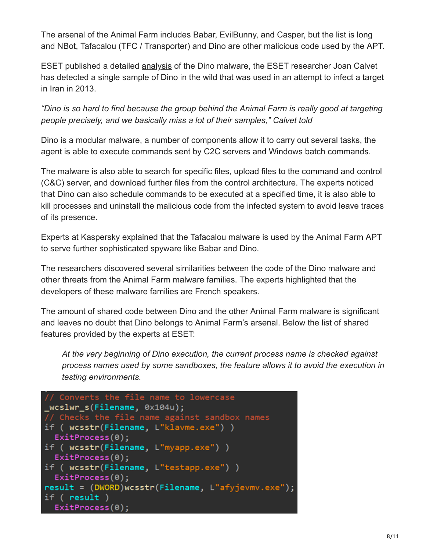The arsenal of the Animal Farm includes Babar, EvilBunny, and Casper, but the list is long and NBot, Tafacalou (TFC / Transporter) and Dino are other malicious code used by the APT.

ESET published a detailed [analysis](http://www.welivesecurity.com/2015/06/30/dino-spying-malware-analyzed/) of the Dino malware, the ESET researcher Joan Calvet has detected a single sample of Dino in the wild that was used in an attempt to infect a target in Iran in 2013.

*"Dino is so hard to find because the group behind the Animal Farm is really good at targeting people precisely, and we basically miss a lot of their samples," Calvet told*

Dino is a modular malware, a number of components allow it to carry out several tasks, the agent is able to execute commands sent by C2C servers and Windows batch commands.

The malware is also able to search for specific files, upload files to the command and control (C&C) server, and download further files from the control architecture. The experts noticed that Dino can also schedule commands to be executed at a specified time, it is also able to kill processes and uninstall the malicious code from the infected system to avoid leave traces of its presence.

Experts at Kaspersky explained that the Tafacalou malware is used by the Animal Farm APT to serve further sophisticated spyware like Babar and Dino.

The researchers discovered several similarities between the code of the Dino malware and other threats from the Animal Farm malware families. The experts highlighted that the developers of these malware families are French speakers.

The amount of shared code between Dino and the other Animal Farm malware is significant and leaves no doubt that Dino belongs to Animal Farm's arsenal. Below the list of shared features provided by the experts at ESET:

*At the very beginning of Dino execution, the current process name is checked against process names used by some sandboxes, the feature allows it to avoid the execution in testing environments.*

```
// Converts the file name to lowercase
_wcslwr_s(Filename, 0x104u);
// Checks the file name against sandbox names
if ( wcsstr(Filename, L"klavme.exe") )
  ExitProcess(0);if ( wcsstr(Filename, L"myapp.exe") )
  ExitProcess(0);if ( wcsstr(Filename, L"testapp.exe") )
  ExitProcess(0);result = (DWORD)wcsstr(Filename, L"afyjevmv.exe");
if ( result )
  ExitProcess(0);
```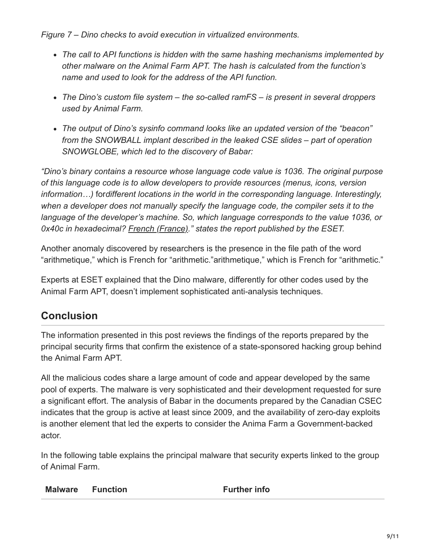*Figure 7 – Dino checks to avoid execution in virtualized environments.*

- *The call to API functions is hidden with the same hashing mechanisms implemented by other malware on the Animal Farm APT. The hash is calculated from the function's name and used to look for the address of the API function.*
- *The Dino's custom file system the so-called ramFS is present in several droppers used by Animal Farm.*
- *The output of Dino's sysinfo command looks like an updated version of the "beacon" from the SNOWBALL implant described in the leaked CSE slides – part of operation SNOWGLOBE, which led to the discovery of Babar:*

*"Dino's binary contains a resource whose language code value is 1036. The original purpose of this language code is to allow developers to provide resources (menus, icons, version information…)* for*different locations in the world in the corresponding language. Interestingly, when a developer does not manually specify the language code, the compiler sets it to the language of the developer's machine. So, which language corresponds to the value 1036, or 0x40c in hexadecimal? [French \(France\).](https://msdn.microsoft.com/en-us/library/windows/desktop/dd318693(v=vs.85).aspx)" states the report published by the ESET.*

Another anomaly discovered by researchers is the presence in the file path of the word "arithmetique," which is French for "arithmetic."arithmetique," which is French for "arithmetic."

Experts at ESET explained that the Dino malware, differently for other codes used by the Animal Farm APT, doesn't implement sophisticated anti-analysis techniques.

## **Conclusion**

The information presented in this post reviews the findings of the reports prepared by the principal security firms that confirm the existence of a state-sponsored hacking group behind the Animal Farm APT.

All the malicious codes share a large amount of code and appear developed by the same pool of experts. The malware is very sophisticated and their development requested for sure a significant effort. The analysis of Babar in the documents prepared by the Canadian CSEC indicates that the group is active at least since 2009, and the availability of zero-day exploits is another element that led the experts to consider the Anima Farm a Government-backed actor.

In the following table explains the principal malware that security experts linked to the group of Animal Farm.

| <b>Malware</b> | <b>Function</b> | <b>Further info</b> |
|----------------|-----------------|---------------------|
|----------------|-----------------|---------------------|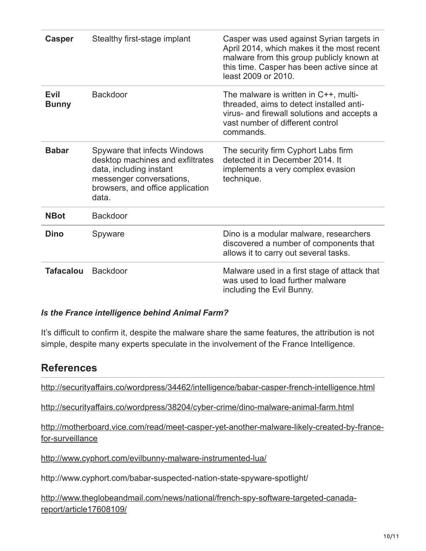| <b>Casper</b>               | Stealthy first-stage implant                                                                                                                                         | Casper was used against Syrian targets in<br>April 2014, which makes it the most recent<br>malware from this group publicly known at<br>this time. Casper has been active since at<br>least 2009 or 2010. |
|-----------------------------|----------------------------------------------------------------------------------------------------------------------------------------------------------------------|-----------------------------------------------------------------------------------------------------------------------------------------------------------------------------------------------------------|
| <b>Evil</b><br><b>Bunny</b> | <b>Backdoor</b>                                                                                                                                                      | The malware is written in $C_{++}$ , multi-<br>threaded, aims to detect installed anti-<br>virus- and firewall solutions and accepts a<br>vast number of different control<br>commands.                   |
| <b>Babar</b>                | Spyware that infects Windows<br>desktop machines and exfiltrates<br>data, including instant<br>messenger conversations,<br>browsers, and office application<br>data. | The security firm Cyphort Labs firm<br>detected it in December 2014. It<br>implements a very complex evasion<br>technique.                                                                                |
| <b>NBot</b>                 | <b>Backdoor</b>                                                                                                                                                      |                                                                                                                                                                                                           |
| <b>Dino</b>                 | Spyware                                                                                                                                                              | Dino is a modular malware, researchers<br>discovered a number of components that<br>allows it to carry out several tasks.                                                                                 |
| <b>Tafacalou</b>            | <b>Backdoor</b>                                                                                                                                                      | Malware used in a first stage of attack that<br>was used to load further malware<br>including the Evil Bunny.                                                                                             |

#### *Is the France intelligence behind Animal Farm?*

It's difficult to confirm it, despite the malware share the same features, the attribution is not simple, despite many experts speculate in the involvement of the France Intelligence.

### **References**

<http://securityaffairs.co/wordpress/34462/intelligence/babar-casper-french-intelligence.html>

<http://securityaffairs.co/wordpress/38204/cyber-crime/dino-malware-animal-farm.html>

[http://motherboard.vice.com/read/meet-casper-yet-another-malware-likely-created-by-france](http://motherboard.vice.com/read/meet-casper-yet-another-malware-likely-created-by-france-for-surveillance)for-surveillance

<http://www.cyphort.com/evilbunny-malware-instrumented-lua/>

http://www.cyphort.com/babar-suspected-nation-state-spyware-spotlight/

[http://www.theglobeandmail.com/news/national/french-spy-software-targeted-canada](http://www.theglobeandmail.com/news/national/french-spy-software-targeted-canada-report/article17608109/)report/article17608109/